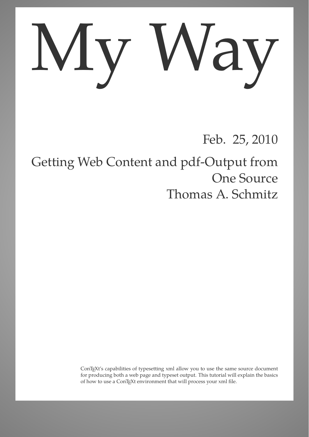## My Way

## Feb. 25, 2010

## Getting Web Content and pdf-Output from One Source Thomas A. Schmitz

ConTEXt's capabilities of typesetting xml allow you to use the same source document for producing both a web page and typeset output. This tutorial will explain the basics of how to use a ConTEXt environment that will process your xml file.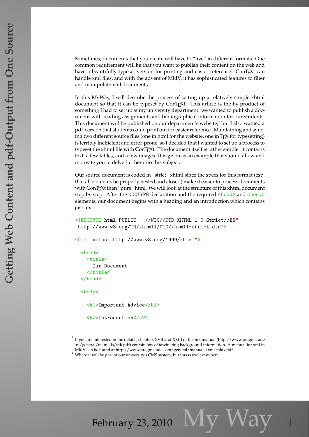Sometimes, documents that you create will have to "live" in different formats. One common requirement will be that you want to publish their content on the web and have a beautifully typeset version for printing and easier reference. ConTEXt can handle xml files, and with the advent of MkIV, it has sophisticated features to filter and manipulate xml documents.<sup>1</sup>

In this MyWay, I will describe the process of setting up a relatively simple xhtml document so that it can be typeset by ConTEXt. This article is the by-product of something I had to set up at my university department: we wanted to publish a document with reading assignments and bibliographical information for our students. This document will be published on our department's website,<sup>2</sup> but I also wanted a pdf-version that students could print out for easier reference. Maintaining and syncing two different source files (one in html for the website, one in T<sub>E</sub>X for typesetting) is terribly inefficient and error-prone, so I decided that I wanted to set up a process to typeset the xhtml file with ConTEXt. The document itself is rather simple: it contains text, a few tables, and a few images. It is given as an example that should allow and motivate you to delve further into this subject.

Our source document is coded in "strict" xhtml since the specs for this format (esp. that all elements be properly nested and closed) make it easier to process documents with ConTEXt than "pure" html. We will look at the structure of this xhtml document step by step. After the DOCTYPE declaration and the required <head> and <br/> <br/>eddy> elements, our document begins with a heading and an introduction which contains just text:

<!DOCTYPE html PUBLIC "-//W3C//DTD XHTML 1.0 Strict//EN" "http://www.w3.org/TR/xhtml1/DTD/xhtml1-strict.dtd">

<html xmlns="http://www.w3.org/1999/xhtml">

```
<head>
  <title>
    Our Document
  \langletitle>
</head>
```
<body>

<h1>Important Advice</h1>

<h2>Introduction</h2>

February 23, 2010  $N<sub>1</sub>V$  VVaV

<sup>&</sup>lt;sup>1</sup> If you are interested in the details, chapters XVII and XXIII of the mk manual (http://www.pragma-ade .nl/general/manuals/mk.pdf) contain lots of fascinating background information. A manual for xml in MkIV can be found at http://www.pragma-ade.com/general/manuals/xml-mkiv.pdf.

<sup>&</sup>lt;sup>2</sup> Where it will be part of our university's CMS system, but this is irrelevant here.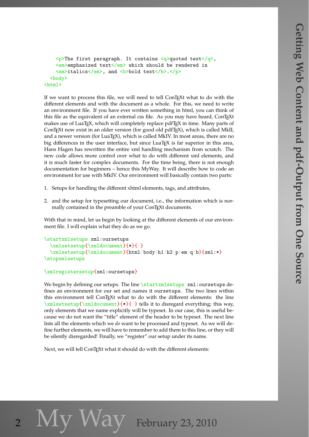```
<p>The first paragraph. It contains <q>quoted text</q>,
   <em>emphasized text</em> which should be rendered in
   <em>italics</em>, and <b>bold text</b></p>
  <body>
<html>
```
If we want to process this file, we will need to tell ConTEXt what to do with the different elements and with the document as a whole. For this, we need to write an environment file. If you have ever written something in html, you can think of this file as the equivalent of an external css file. As you may have heard, ConTEXt makes use of LuaT<sub>E</sub>X, which will completely replace pdfT<sub>E</sub>X in time. Many parts of ConTEXt now exist in an older version (for good old pdfTEX), which is called MkII, and a newer version (for LuaT<sub>E</sub>X), which is called MkIV. In most areas, there are no big differences in the user interface, but since  $\text{Luaf} \times \text{S}$  is far superior in this area, Hans Hagen has rewritten the entire xml handling mechanism from scratch. The new code allows more control over what to do with different xml elements, and it is much faster for complex documents. For the time being, there is not enough documentation for beginners – hence this MyWay. It will describe how to code an environment for use with MkIV. Our environment will basically contain two parts:

- 1. Setups for handling the different xhtml elements, tags, and attributes,
- 2. and the setup for typesetting our document, i.e., the information which is normally contained in the preamble of your ConTEXt documents.

With that in mind, let us begin by looking at the different elements of our environment file. I will explain what they do as we go.

```
\startxmlsetups xml:oursetups
 \xmlsetsetup{\xmldocument}{*}{-}
 \xmlsetsetup{\xmldocument}{html|body|h1|h2|p|em|q|b}{xml:*}
\stopxmlsetups
```

```
\xmlregistersetup{xml:oursetups}
```
We begin by defining our setups. The line \startxmlsetups xml:oursetups defines an environment for our set and names it oursetups. The two lines within this environment tell ConTEXt what to do with the different elements: the line  $\xmlsetsecup{\xmldocument}$   $\-\}$  tells it to disregard everything; this way, only elements that we name explicitly will be typeset. In our case, this is useful because we do not want the "title" element of the header to be typeset. The next line lists all the elements which we *do* want to be processed and typeset. As we will define further elements, we will have to remember to add them to this line, or they will be silently disregarded! Finally, we "register" our setup under its name.

Next, we will tell ConTEXt what it should do with the different elements:

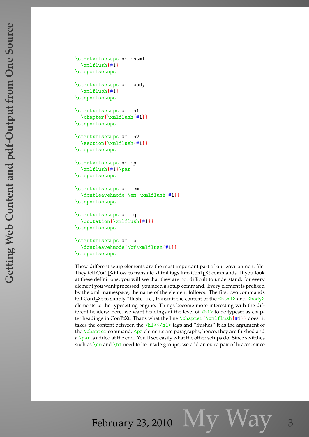```
\startxmlsetups xml:html
  \xmlflush{#1}
\stopxmlsetups
\startxmlsetups xml:body
  \xmlflush{#1}
\stopxmlsetups
\startxmlsetups xml:h1
  \chapter{\xmlflush{#1}}
\stopxmlsetups
\startxmlsetups xml:h2
  \section{\xmlflush{#1}}
\stopxmlsetups
\startxmlsetups xml:p
  \xmlflush{#1}\par
\stopxmlsetups
\startxmlsetups xml:em
  \dontleavehmode{\em \xmlflush{#1}}
\stopxmlsetups
\startxmlsetups xml:q
  \quotation{\xmlflush{#1}}
\stopxmlsetups
\startxmlsetups xml:b
  \dontleavehmode{\bf\xmlflush{#1}}
\stopxmlsetups
```
These different setup elements are the most important part of our environment file. They tell ConTEXt how to translate xhtml tags into ConTEXt commands. If you look at these definitions, you will see that they are not difficult to understand: for every element you want processed, you need a setup command. Every element is prefixed by the xml: namespace; the name of the element follows. The first two commands tell ConTEXt to simply "flush," i.e., transmit the content of the <html> and <br/> <br/>edy> elements to the typesetting engine. Things become more interesting with the different headers: here, we want headings at the level of  $\langle h1 \rangle$  to be typeset as chapter headings in ConTEXt. That's what the line  $\char`>~\mathrm{char}\x$  flush{#1}} does: it takes the content between the  $\frac{\hbar1}{\hbar1}$  tags and "flushes" it as the argument of the  $\lambda$ chapter command.  $\langle p \rangle$  elements are paragraphs; hence, they are flushed and a \par is added at the end. You'll see easily what the other setups do. Since switches such as  $\emph{em}$  and  $\emph{bf}$  need to be inside groups, we add an extra pair of braces; since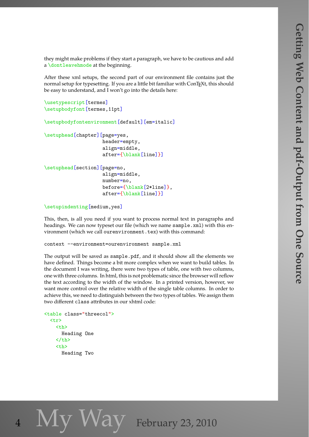they might make problems if they start a paragraph, we have to be cautious and add a \dontleavehmode at the beginning.

After these xml setups, the second part of our environment file contains just the normal setup for typesetting. If you are a little bit familiar with ConTEXt, this should be easy to understand, and I won't go into the details here:

```
\usetypescript[termes]
\setupbodyfont[termes,11pt]
```

```
\setupbodyfontenvironment[default][em=italic]
```

```
\setuphead[chapter][page=yes,
```

```
header=empty,
align=middle,
after={\blank[line]}]
```

```
\setuphead[section][page=no,
                    align=middle,
                    number=no,
                    before={\blank[2*line]},
                    after={\blank[line]}]
```

```
\setupindenting[medium,yes]
```
This, then, is all you need if you want to process normal text in paragraphs and headings. We can now typeset our file (which we name sample.xml) with this environment (which we call ourenvironment.tex) with this command:

```
context --environment=ourenvironment sample.xml
```
The output will be saved as sample.pdf, and it should show all the elements we have defined. Things become a bit more complex when we want to build tables. In the document I was writing, there were two types of table, one with two columns, one with three columns. In html, this is not problematic since the browser will reflow the text according to the width of the window. In a printed version, however, we want more control over the relative width of the single table columns. In order to achieve this, we need to distinguish between the two types of tables. We assign them two different class attributes in our xhtml code:

```
<table class="threecol">
  \langletr>
     <th>
       Heading One
     \langle/th\rangle<th>
       Heading Two
```
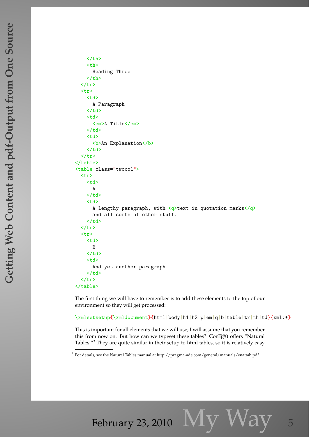$\langle$  /th $\rangle$  $$ Heading Three  $\langle$  /th $\rangle$  $\langle$ /tr> <tr> <td> A Paragraph  $\langle$ td>  $<$ td> <em>A Title</em>  $\langle$ /td> <td> **<b>An Explanation</b>**  $\langle$ td>  $\langle$ tr>  $\langle$  /table> <table class="twocol"> <tr> <td> A  $\langle$ /td> <td> A lengthy paragraph, with  $\langle q \rangle$ text in quotation marks $\langle q \rangle$ and all sorts of other stuff.  $\langle t \rangle$  $\langle$ tr> <tr> <td> B  $\langle t, d \rangle$ <td> And yet another paragraph.  $\langle$  /td>  $\langle$ tr> </table>

The first thing we will have to remember is to add these elements to the top of our environment so they will get processed:

\xmlsetsetup{\xmldocument}{html|body|h1|h2|p|em|q|b|table|tr|th|td}{xml:\*}

This is important for all elements that we will use; I will assume that you remember this from now on. But how can we typeset these tables? ConTEXt offers "Natural Tables."<sup>3</sup> They are quite similar in their setup to html tables, so it is relatively easy

<sup>&</sup>lt;sup>3</sup> For details, see the Natural Tables manual at http://pragma-ade.com/general/manuals/enattab.pdf.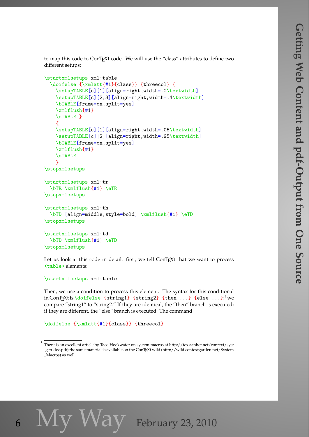to map this code to ConT<sub>E</sub>Xt code. We will use the "class" attributes to define two different setups:

```
\startxmlsetups xml:table
  \doifelse {\xmlatt{#1}{class}} {threecol} {
    \setupTABLE[c][1][align=right,width=.2\textwidth]
    \setupTABLE[c][2,3][align=right,width=.4\textwidth]
    \bTABLE[frame=on,split=yes]
    \xmlflush{#1}
    \eTABLE }
    \mathcal{F}\setupTABLE[c][1][align=right,width=.05\textwidth]
    \setupTABLE[c][2][align=right,width=.95\textwidth]
    \bTABLE[frame=on,split=yes]
    \xmlflush{#1}
    \eTABLE
    }
\stopxmlsetups
\startxmlsetups xml:tr
  \bTR \xmlflush{#1} \eTR
\stopxmlsetups
\startxmlsetups xml:th
  \bTD [align=middle,style=bold] \xmlflush{#1} \eTD
\stopxmlsetups
\startxmlsetups xml:td
  \bTD \xmlflush{#1} \eTD
\stopxmlsetups
```
Let us look at this code in detail: first, we tell ConTEXt that we want to process <table> elements:

```
\startxmlsetups xml:table
```
Then, we use a condition to process this element. The syntax for this conditional in ConTEXtis\doifelse  $\{string1\}$   $\{string2\}$   $\{then \dots\}$   $\{else \dots\}$ ." we compare "string1" to "string2." If they are identical, the "then" branch is executed; if they are different, the "else" branch is executed. The command

\doifelse {\xmlatt{#1}{class}} {threecol}

6  $N<sub>V</sub>$  Way February 23, 2010

<sup>&</sup>lt;sup>4</sup> There is an excellent article by Taco Hoekwater on system macros at http://tex.aanhet.net/context/syst -gen-doc.pdf; the same material is available on the ConTEXt wiki (http://wiki.contextgarden.net/System \_Macros) as well.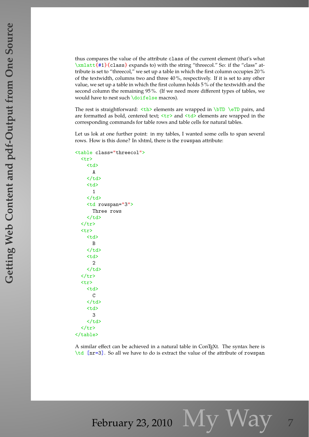thus compares the value of the attribute class of the current element (that's what \xmlatt{#1}{class} expands to) with the string "threecol." So: if the "class" attribute is set to "threecol," we set up a table in which the first column occupies 20 % of the textwidth, columns two and three 40 %, respectively. If it is set to any other value, we set up a table in which the first column holds 5 % of the textwidth and the second column the remaining 95 %. (If we need more different types of tables, we would have to nest such \doifelse macros).

The rest is straightforward:  **elements are wrapped in**  $\b{DTD} \e{TD}$  **pairs, and** are formatted as bold, centered text;  $\langle \text{tr} \rangle$  and  $\langle \text{td} \rangle$  elements are wrapped in the corresponding commands for table rows and table cells for natural tables.

Let us lok at one further point: in my tables, I wanted some cells to span several rows. How is this done? In xhtml, there is the rowspan attribute:

```
<table class="threecol">
   <tr>
      <td>
        A
     \langle/td>
      <td>
        1
     \langletd>
     <td rowspan="3">
        Three rows
     \langle/td>
  \langle/tr>
   <tr>
     <t.d>
        B
     \langletd>
     <td>
        2
      \langle t \rangle\langletr>
   <tr>
     <td>
        C
     \langletd>
      <td>
        3
     \langletd>
  \langle/tr>
</table>
```
A similar effect can be achieved in a natural table in ConTEXt. The syntax here is \td [nr=3]. So all we have to do is extract the value of the attribute of rowspan

February 23, 2010  $N<sub>1</sub>V<sub>1</sub>$   $N<sub>2</sub>V<sub>3</sub>$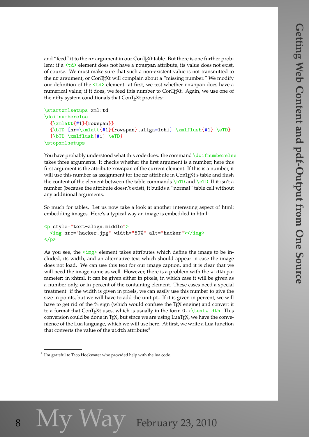and "feed" it to the nr argument in our ConTEXt table. But there is one further problem: if a <td> element does not have a rowspan attribute, its value does not exist, of course. We must make sure that such a non-existent value is not transmitted to the nr argument, or ConT<sub>E</sub>Xt will complain about a "missing number." We modify our definition of the  $\langle \text{td} \rangle$  element: at first, we test whether rowspan does have a numerical value; if it does, we feed this number to ConTEXt. Again, we use one of the nifty system conditionals that ConTEXt provides:

```
\startxmlsetups xml:td
\doifnumberelse
 {\xmlatt{#1}{rowspan}}
 {\bf m} = \xmlatt{#1}{rowspan},align=lohi] \xmlflush{#1} \eTD}
  {\bT} \xmlflush{#1} \eTD}
\stopxmlsetups
```
You have probably understood what this code does: the command \doifnumberelse takes three arguments. It checks whether the first argument is a number; here this first argument is the attribute rowspan of the current element. If this is a number, it will use this number as assignment for the nr attribute in ConTFXt's table and flush the content of the element between the table commands  $\b{DTD}$  and  $\e{TD}$ . If it isn't a number (because the attribute doesn't exist), it builds a "normal" table cell without any additional arguments.

So much for tables. Let us now take a look at another interesting aspect of html: embedding images. Here's a typical way an image is embedded in html:

```
<p style="text-align:middle">
  <img src="hacker.jpg" width="50%" alt="hacker"></img>
</p>
```
As you see, the  $\langle \text{img} \rangle$  element takes attributes which define the image to be included, its width, and an alternative text which should appear in case the image does not load. We can use this text for our image caption, and it is clear that we will need the image name as well. However, there is a problem with the width parameter: in xhtml, it can be given either in pixels, in which case it will be given as a number only, or in percent of the containing element. These cases need a special treatment: if the width is given in pixels, we can easily use this number to give the size in points, but we will have to add the unit pt. If it is given in percent, we will have to get rid of the % sign (which would confuse the T<sub>E</sub>X engine) and convert it to a format that ConTEXt uses, which is usually in the form  $0.x\text{textwidth}$ . This conversion could be done in  $TrX$ , but since we are using LuaT $FX$ , we have the convenience of the Lua language, which we will use here. At first, we write a Lua function that converts the value of the width attribute:<sup>5</sup>

8  $IVI$   $VV$   $d$   $V$  February 23, 2010

 $5$  I'm grateful to Taco Hoekwater who provided help with the lua code.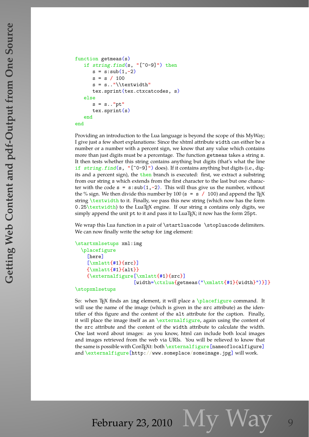```
function getmeas(s)
   if string.find(s, "[^0-9]") thens = s:sub(1, -2)s = s / 100s = s.."\\textwidth"
      tex.sprint(tex.ctxcatcodes, s)
   else
      s = s.."pt"tex.sprint(s)
   end
end
```
Providing an introduction to the Lua language is beyond the scope of this MyWay; I give just a few short explanations: Since the xhtml attribute width can either be a number or a number with a percent sign, we know that any value which contains more than just digits must be a percentage. The function getmeas takes a string s. It then tests whether this string contains anything but digits (that's what the line if string.find(s, "[^0-9]") does). If it contains anything but digits (i.e., digits and a percent sign), the then branch is executed: first, we extract a substring from our string s which extends from the first character to the last but one character with the code  $s = s:sub(1, -2)$ . This will thus give us the number, without the % sign. We then divide this number by 100 ( $s = s / 100$ ) and append the T<sub>E</sub>X string \textwidth to it. Finally, we pass this new string (which now has the form  $0.25\text{textwidth}$  to the LuaT<sub>E</sub>X engine. If our string s contains only digits, we simply append the unit pt to it and pass it to LuaT<sub>E</sub>X; it now has the form 25pt.

We wrap this Lua function in a pair of \startluacode \stopluacode delimiters. We can now finally write the setup for img element:

```
\startxmlsetups xml:img
  \placefigure
    [here]
    [\xmlatt{#1}{src}]
    {\xmlatt{#1}{alt}}
    {\externalfigure[\xmlatt{#1}{src}]
                     [width=\ctxlua{getmeas("\xmlatt{#1}{width}")}]}
```
## \stopxmlsetups

So: when T<sub>E</sub>X finds an img element, it will place a \placefigure command. It will use the name of the image (which is given in the src attribute) as the identifier of this figure and the content of the alt attribute for the caption. Finally, it will place the image itself as an \externalfigure, again using the content of the src attribute and the content of the width attribute to calculate the width. One last word about images: as you know, html can include both local images and images retrieved from the web via URIs. You will be relieved to know that the same is possible with ConTEXt: both \externalfigure[nameoflocalfigure] and \externalfigure[http://www.someplace/someimage.jpg] will work.

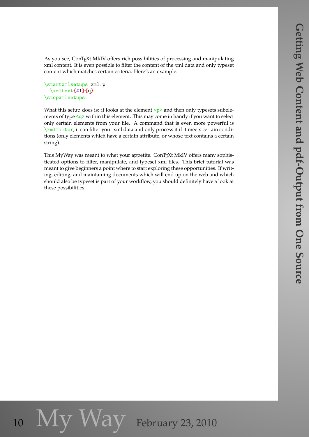As you see, ConTEXt MkIV offers rich possibilities of processing and manipulating xml content. It is even possible to filter the content of the xml data and only typeset content which matches certain criteria. Here's an example:

```
\startxmlsetups xml:p
 \xmltext{#1}{q}
\stopxmlsetups
```
What this setup does is: it looks at the element  $\langle p \rangle$  and then only typesets subelements of type <q> within this element. This may come in handy if you want to select only certain elements from your file. A command that is even more powerful is \xmlfilter; it can filter your xml data and only process it if it meets certain conditions (only elements which have a certain attribute, or whose text contains a certain string).

This MyWay was meant to whet your appetite. ConTEXt MkIV offers many sophisticated options to filter, manipulate, and typeset xml files. This brief tutorial was meant to give beginners a point where to start exploring these opportunities. If writing, editing, and maintaining documents which will end up on the web and which should also be typeset is part of your workflow, you should definitely have a look at these possibilities.

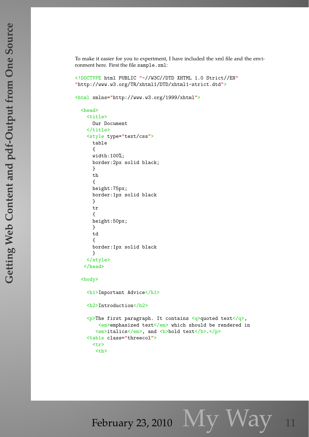To make it easier for you to experiment, I have included the xml file and the environment here. First the file sample.xml:

<!DOCTYPE html PUBLIC "-//W3C//DTD XHTML 1.0 Strict//EN" "http://www.w3.org/TR/xhtml1/DTD/xhtml1-strict.dtd">

```
<html xmlns="http://www.w3.org/1999/xhtml">
```

```
<head>
  <title>
    Our Document
  \langletitle>
  <style type="text/css">
    table
    {
    width:100%;
    border:2px solid black;
    }
    th
    {
    height:75px;
    border:1px solid black
    }
    tr
    {
    height:50px;
    }
    td
    {
    border:1px solid black
    }
  </style>
 </head>
```
<body>

<h1>Important Advice</h1> <h2>Introduction</h2> <p>The first paragraph. It contains <q>quoted text</q>,  $\langle em \rangle$ emphasized text $\langle /em \rangle$  which should be rendered in <em>italics</em>, and <br/>b>bold text</b>.</p> <table class="threecol">  $\langle$ tr> <th>

February 23, 2010  $Mv$   $W$ ay 11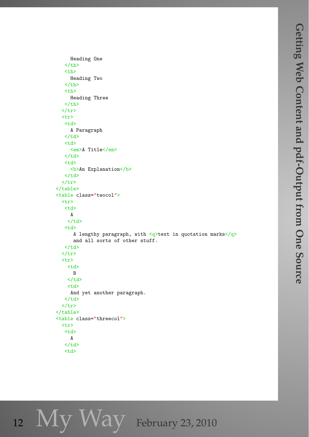```
Heading One
    \langle /th\rangle
      Heading Two
    \langle /th\rangle
      Heading Three
    \langle /th\rangle\langletr>
  <tr>
    <td>
      A Paragraph
    \langletd>
    <td>
      <em>A Title</em>
    \langletd>
    <td>
      <br/>b>An Explanation</b>
    \langle/td>
  \langletr>
</table>
<table class="twocol">
  <tr>
    <td>
      A
     \langle t \rangle<td>
        A lengthy paragraph, with \langle q \rangletext in quotation marks\langle q \rangleand all sorts of other stuff.
    \langletd>
  \langle/tr>
  <tr>
     <td>
       B
     \langle/td>
     <td>
      And yet another paragraph.
    \langle/td>
  \langletr>
</table>
<table class="threecol">
  <tr>
    <td>
      A
    \langle/td>
```
12 My Way February 23, 2010

 $<$ td $>$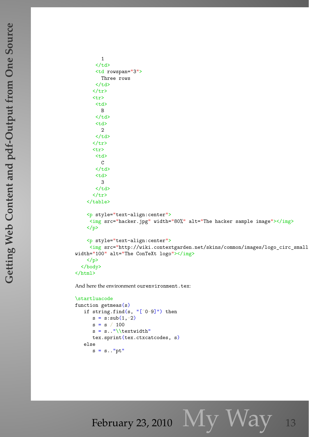```
1
         \langle/td>
         <td rowspan="3">
           Three rows
         \langle/td>
        \langletr>
        <tr>
         <td>
           B
         \langle/td>
         <td>
            2
         \langletd>
        \langletr>
        <tr>
         <td>
           \mathcal{C}\langle/td>
         <td>
            3
         \langle/td>
        \langle/tr>
     </table>
     <p style="text-align:center">
      \langle \text{img src} = \text{"hacker.jpg"} width="80%" alt="The hacker sample image"></img>
     \langle/p>
     <p style="text-align:center">
      <img src="http://wiki.contextgarden.net/skins/common/images/logo_circ_small.png"
width="100" alt="The ConTeXt logo"></img>
     \langle/p>
  </body>
\langle/html>
```
And here the environment ourenvironment.tex:

```
\startluacode
function getmeas(s)
   if string.find(s, "[^{\frown}0-9]") then
      s = s:sub(1, -2)s = s / 100s = s \dots "\\textwidth"tex.sprint(tex.ctxcatcodes, s)
   else
      s = s.."pt"
```
February 23, 2010  $\bf{My Way}$  13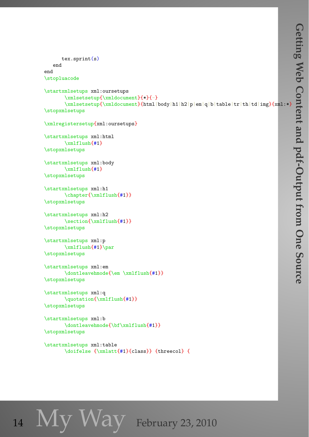```
tex.sprint(s)
   end
end
\stopluacode
\startxmlsetups xml:oursetups
       \xmlsetsetup{\xmldocument}{*}{-}
       \xmlsetsetup{\xmldocument}{html|body|h1|h2|p|em|q|b|table|tr|th|td|img}{xml:*}
\stopxmlsetups
\xmlregistersetup{xml:oursetups}
\startxmlsetups xml:html
       \xmlflush{#1}
\stopxmlsetups
\startxmlsetups xml:body
      \xmlflush{#1}
\stopxmlsetups
\startxmlsetups xml:h1
       \chapter{\xmlflush{#1}}
\stopxmlsetups
\startxmlsetups xml:h2
       \section{\xmlflush{#1}}
\stopxmlsetups
\startxmlsetups xml:p
       \xmlflush{#1}\par
\stopxmlsetups
\startxmlsetups xml:em
       \dontleavehmode{\em \xmlflush{#1}}
\stopxmlsetups
\startxmlsetups xml:q
       \quotation{\xmlflush{#1}}
\stopxmlsetups
\startxmlsetups xml:b
       \dontleavehmode{\bf\xmlflush{#1}}
\stopxmlsetups
\startxmlsetups xml:table
       \doifelse {\xmlatt{#1}{class}} {threecol} {
```
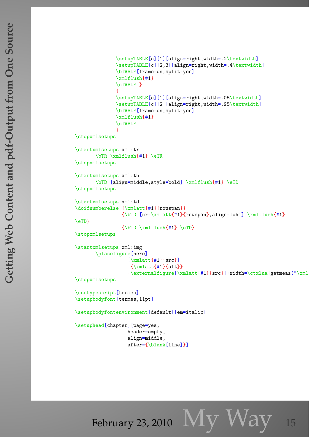```
\setupTABLE[c][1][align=right,width=.2\textwidth]
              \setupTABLE[c][2,3][align=right,width=.4\textwidth]
              \bTABLE[frame=on,split=yes]
              \xmlflush{#1}
              \eTABLE }
              {
              \setupTABLE[c][1][align=right,width=.05\textwidth]
              \setupTABLE[c][2][align=right,width=.95\textwidth]
              \bTABLE[frame=on,split=yes]
              \xmlflush{#1}
              \eTABLE
              }
\stopxmlsetups
\startxmlsetups xml:tr
       \bTR \xmlflush{#1} \eTR
\stopxmlsetups
\startxmlsetups xml:th
       \bTD [align=middle,style=bold] \xmlflush{#1} \eTD
\stopxmlsetups
\startxmlsetups xml:td
\doifnumberelse {\xmlatt{#1}{rowspan}}
                {\bT} [nr=\xmlatt{#1}{rowspan},align=lohi] \xmlflush{#1}
\eTD}
                {\bf bTD \xm1flush{#1} \eTD}\stopxmlsetups
\startxmlsetups xml:img
       \placefigure[here]
                  [\xmlatt{#1}{src}]
                   {\xmlatt{#1}{alt}}{\text{currentfigure}[\xmlatt{#1}{src}][width=\ctxlua{getmeas("\xml
\stopxmlsetups
\usetypescript[termes]
\setupbodyfont[termes,11pt]
\setupbodyfontenvironment[default][em=italic]
\setuphead[chapter][page=yes,
                  header=empty,
                  align=middle,
                  after={\blank[line]}]
```
February 23, 2010  $M_{V}$   $W$ ay 15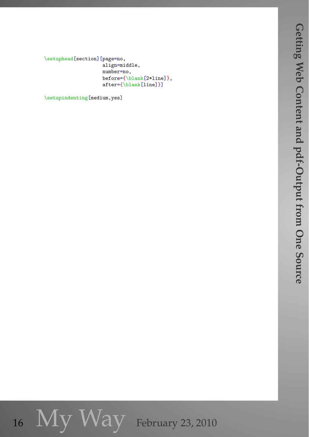\setuphead[section][page=no, align=middle, number=no, before={\blank[2\*line]}, after={\blank[line]}]

\setupindenting[medium,yes]